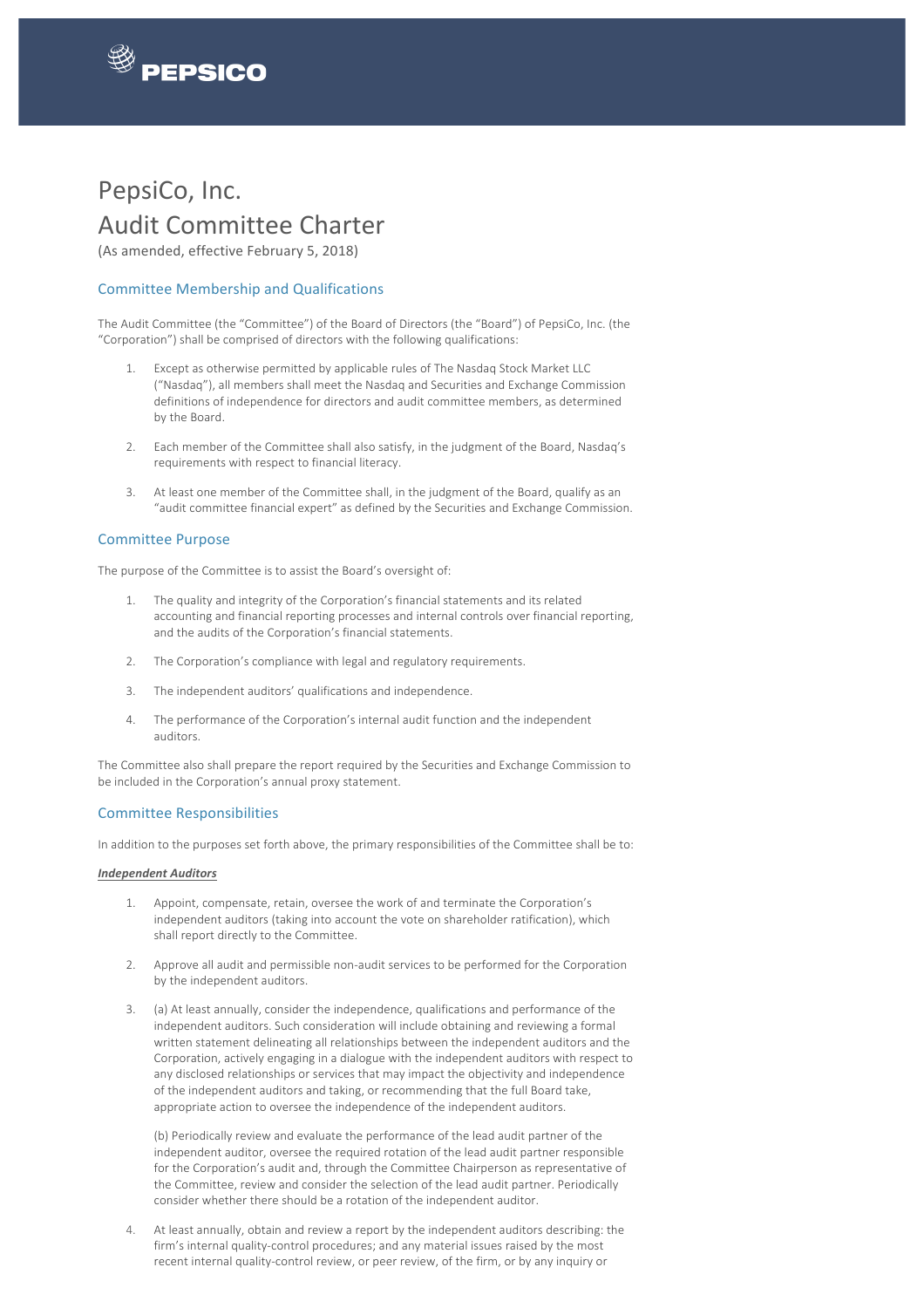

 

# PepsiCo, Inc. **Audit Committee Charter**

(As amended, effective February 5, 2018)

# Committee Membership and Qualifications

The Audit Committee (the "Committee") of the Board of Directors (the "Board") of PepsiCo, Inc. (the "Corporation") shall be comprised of directors with the following qualifications:

- 1. Except as otherwise permitted by applicable rules of The Nasdaq Stock Market LLC ("Nasdaq"), all members shall meet the Nasdaq and Securities and Exchange Commission definitions of independence for directors and audit committee members, as determined by the Board.
- 2. Each member of the Committee shall also satisfy, in the judgment of the Board, Nasdaq's requirements with respect to financial literacy.
- 3. At least one member of the Committee shall, in the judgment of the Board, qualify as an "audit committee financial expert" as defined by the Securities and Exchange Commission.

## Committee Purpose

The purpose of the Committee is to assist the Board's oversight of:

- 1. The quality and integrity of the Corporation's financial statements and its related accounting and financial reporting processes and internal controls over financial reporting, and the audits of the Corporation's financial statements.
- 2. The Corporation's compliance with legal and regulatory requirements.
- 3. The independent auditors' qualifications and independence.
- 4. The performance of the Corporation's internal audit function and the independent auditors.

The Committee also shall prepare the report required by the Securities and Exchange Commission to be included in the Corporation's annual proxy statement.

## Committee Responsibilities

In addition to the purposes set forth above, the primary responsibilities of the Committee shall be to:

#### *Independent Auditors*

- 1. Appoint, compensate, retain, oversee the work of and terminate the Corporation's independent auditors (taking into account the vote on shareholder ratification), which shall report directly to the Committee.
- 2. Approve all audit and permissible non-audit services to be performed for the Corporation by the independent auditors.
- 3. (a) At least annually, consider the independence, qualifications and performance of the independent auditors. Such consideration will include obtaining and reviewing a formal written statement delineating all relationships between the independent auditors and the Corporation, actively engaging in a dialogue with the independent auditors with respect to any disclosed relationships or services that may impact the objectivity and independence of the independent auditors and taking, or recommending that the full Board take, appropriate action to oversee the independence of the independent auditors.

(b) Periodically review and evaluate the performance of the lead audit partner of the independent auditor, oversee the required rotation of the lead audit partner responsible for the Corporation's audit and, through the Committee Chairperson as representative of the Committee, review and consider the selection of the lead audit partner. Periodically consider whether there should be a rotation of the independent auditor.

4. At least annually, obtain and review a report by the independent auditors describing: the firm's internal quality-control procedures; and any material issues raised by the most recent internal quality-control review, or peer review, of the firm, or by any inquiry or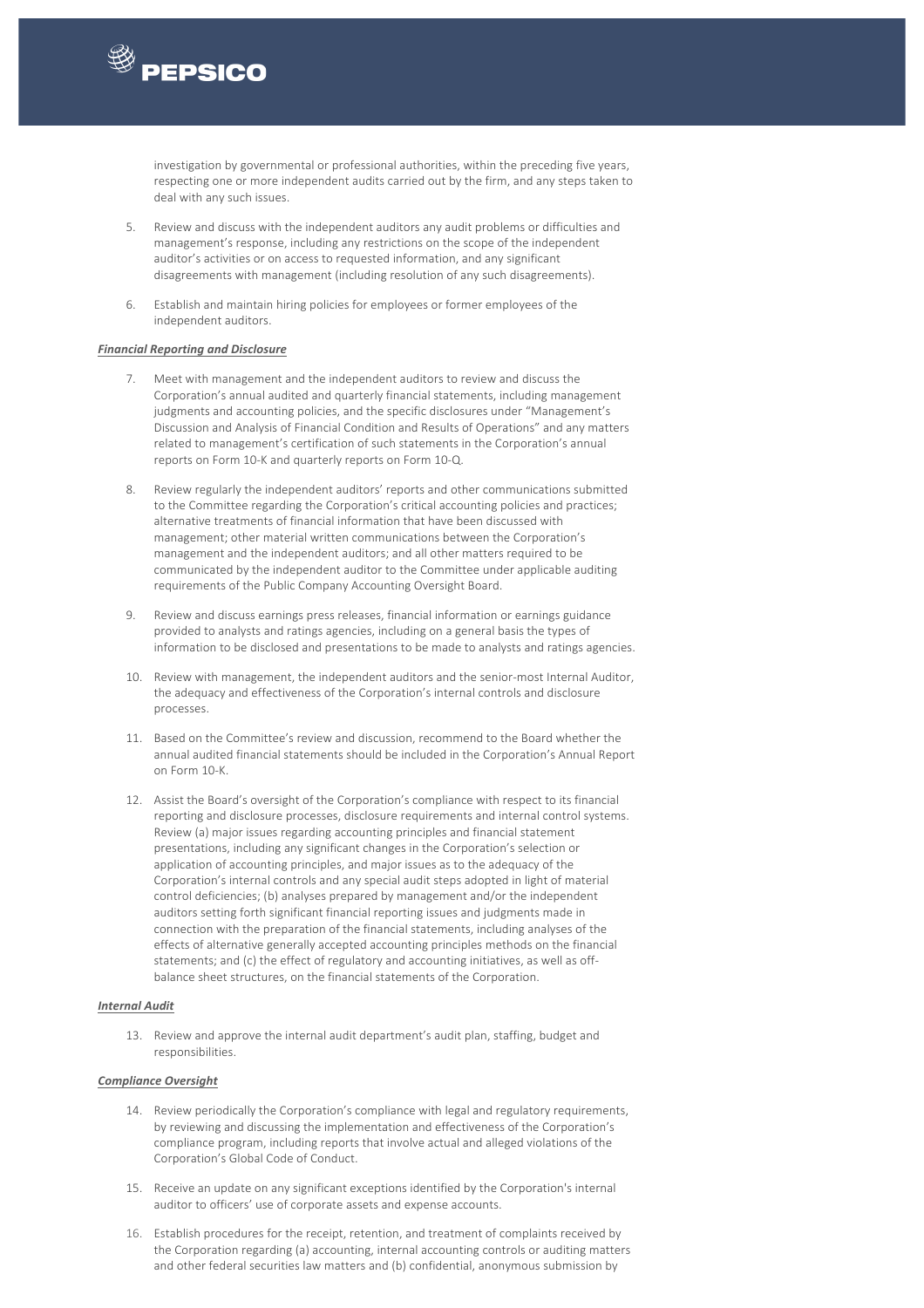

 

investigation by governmental or professional authorities, within the preceding five years, respecting one or more independent audits carried out by the firm, and any steps taken to deal with any such issues.

- 5. Review and discuss with the independent auditors any audit problems or difficulties and management's response, including any restrictions on the scope of the independent auditor's activities or on access to requested information, and any significant disagreements with management (including resolution of any such disagreements).
- 6. Establish and maintain hiring policies for employees or former employees of the independent auditors.

#### *Financial Reporting and Disclosure*

- 7. Meet with management and the independent auditors to review and discuss the Corporation's annual audited and quarterly financial statements, including management judgments and accounting policies, and the specific disclosures under "Management's Discussion and Analysis of Financial Condition and Results of Operations" and any matters related to management's certification of such statements in the Corporation's annual reports on Form 10-K and quarterly reports on Form 10-Q.
- 8. Review regularly the independent auditors' reports and other communications submitted to the Committee regarding the Corporation's critical accounting policies and practices; alternative treatments of financial information that have been discussed with management; other material written communications between the Corporation's management and the independent auditors; and all other matters required to be communicated by the independent auditor to the Committee under applicable auditing requirements of the Public Company Accounting Oversight Board.
- 9. Review and discuss earnings press releases, financial information or earnings guidance provided to analysts and ratings agencies, including on a general basis the types of information to be disclosed and presentations to be made to analysts and ratings agencies.
- 10. Review with management, the independent auditors and the senior-most Internal Auditor, the adequacy and effectiveness of the Corporation's internal controls and disclosure processes.
- 11. Based on the Committee's review and discussion, recommend to the Board whether the annual audited financial statements should be included in the Corporation's Annual Report on Form 10-K.
- 12. Assist the Board's oversight of the Corporation's compliance with respect to its financial reporting and disclosure processes, disclosure requirements and internal control systems. Review (a) major issues regarding accounting principles and financial statement presentations, including any significant changes in the Corporation's selection or application of accounting principles, and major issues as to the adequacy of the Corporation's internal controls and any special audit steps adopted in light of material control deficiencies; (b) analyses prepared by management and/or the independent auditors setting forth significant financial reporting issues and judgments made in connection with the preparation of the financial statements, including analyses of the effects of alternative generally accepted accounting principles methods on the financial statements; and (c) the effect of regulatory and accounting initiatives, as well as offbalance sheet structures, on the financial statements of the Corporation.

#### *Internal Audit*

13. Review and approve the internal audit department's audit plan, staffing, budget and responsibilities.

## *Compliance Oversight*

- 14. Review periodically the Corporation's compliance with legal and regulatory requirements, by reviewing and discussing the implementation and effectiveness of the Corporation's compliance program, including reports that involve actual and alleged violations of the Corporation's Global Code of Conduct.
- 15. Receive an update on any significant exceptions identified by the Corporation's internal auditor to officers' use of corporate assets and expense accounts.
- 16. Establish procedures for the receipt, retention, and treatment of complaints received by the Corporation regarding (a) accounting, internal accounting controls or auditing matters and other federal securities law matters and (b) confidential, anonymous submission by